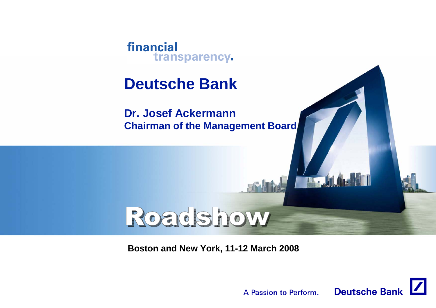

**Dr. Josef AckermannChairman of the Management Board**

# **Boston and New York, 11-12 March 2008**

Roadshow



**IT. J.A.**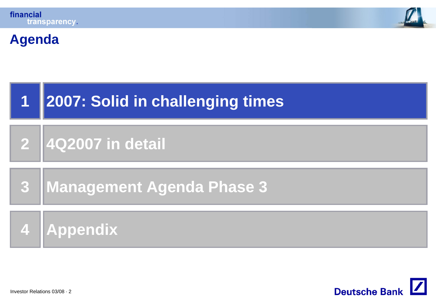



### **Agenda**



#### **24Q2007 in detail**

#### **3Management Agenda Phase 3**

**4Appendix**

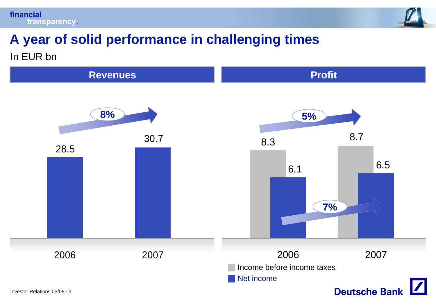



# **A year of solid performance in challenging times** In EUR bn

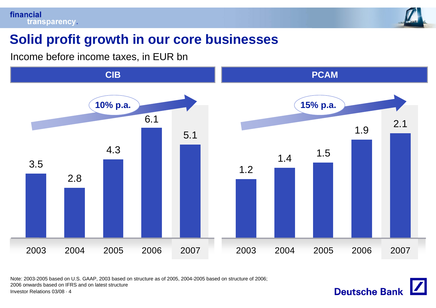

# **Solid profit growth in our core businesses**

Income before income taxes, in EUR bn



Note: 2003-2005 based on U.S. GAAP, 2003 based on structure as of 2005, 2004-2005 based on structure of 2006;

2006 onwards based on IFRS and on latest structure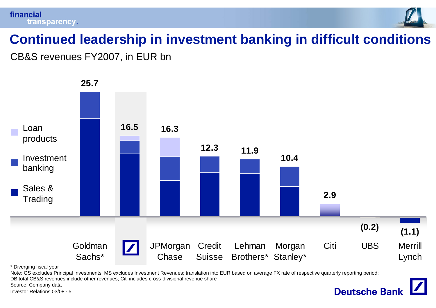



# **Continued leadership in investment banking in difficult conditions**

CB&S revenues FY2007, in EUR bn



\* Diverging fiscal year

Note: GS excludes Principal Investments, MS excludes Investment Revenues; translation into EUR based on average FX rate of respective quarterly reporting period; DB total CB&S revenues include other revenues; Citi includes cross-divisional revenue share

Source: Company data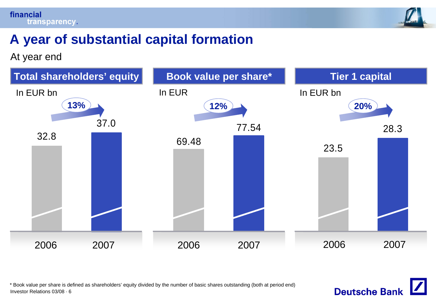

# **A year of substantial capital formation**

At year end



Investor Relations 03/08 · 6 \* Book value per share is defined as shareholders' equity divided by the number of basic shares outstanding (both at period end)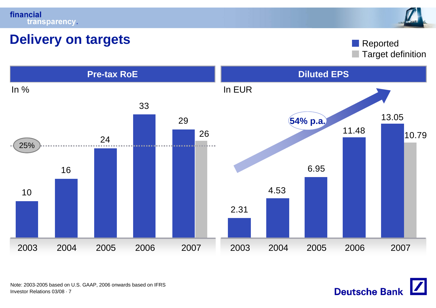



### **Delivery on targets**

Target definition Reported



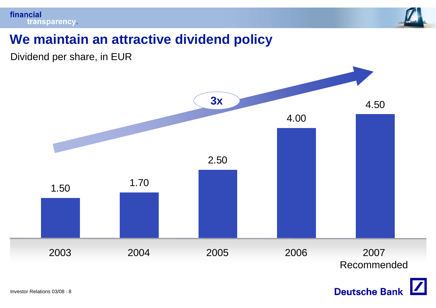

# **We maintain an attractive dividend policy**

Dividend per share, in EUR



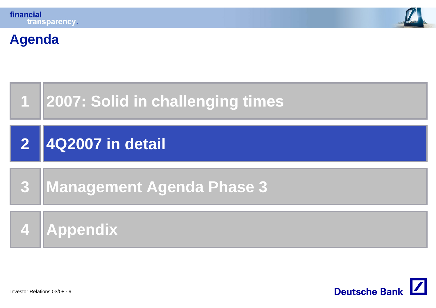

# **Agenda**



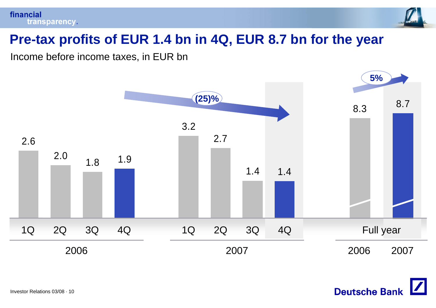



# **Pre-tax profits of EUR 1.4 bn in 4Q, EUR 8.7 bn for the year**

Income before income taxes, in EUR bn



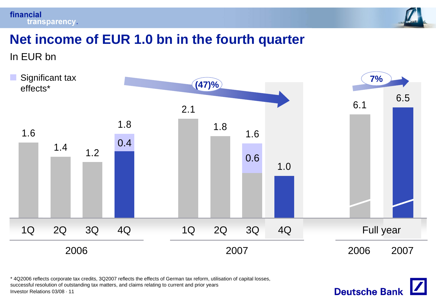financial transparency.



**Deutsche Bank** 

# **Net income of EUR 1.0 bn in the fourth quarter**

In EUR bn



\* 4Q2006 reflects corporate tax credits, 3Q2007 reflects the effects of German tax reform, utilisation of capital losses, successful resolution of outstanding tax matters, and claims relating to current and prior years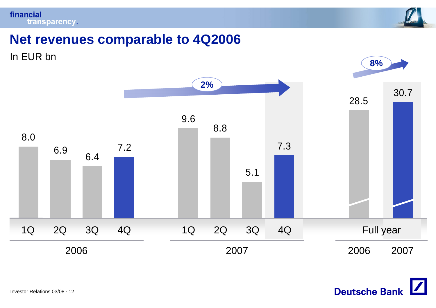



### **Net revenues comparable to 4Q2006**





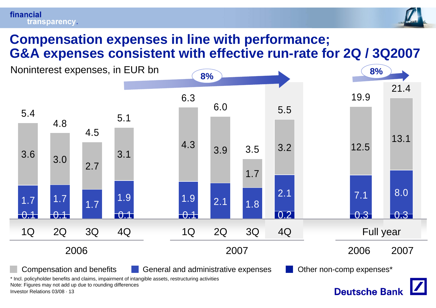#### financial transparency.



### **Compensation expenses in line with performance; G&A expenses consistent with effective run-rate for 2Q / 3Q2007**

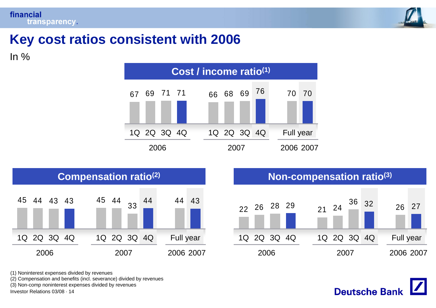

# **Key cost ratios consistent with 2006**

In  $%$ 







(1) Noninterest expenses divided by revenues

(2) Compensation and benefits (incl. severance) divided by revenues

(3) Non-comp noninterest expenses divided by revenues

Investor Relations 03/08 · 14

**Deutsche Bank**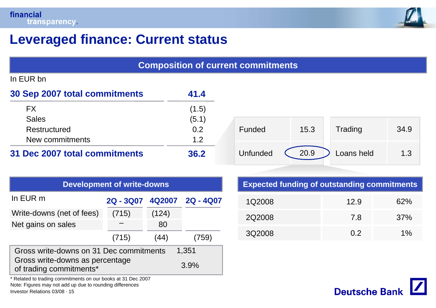

# **Leveraged finance: Current status**

| <b>Composition of current commitments</b> |                                   |        |           |               |            |                                                    |      |
|-------------------------------------------|-----------------------------------|--------|-----------|---------------|------------|----------------------------------------------------|------|
| In EUR bn                                 |                                   |        |           |               |            |                                                    |      |
| 30 Sep 2007 total commitments             |                                   |        | 41.4      |               |            |                                                    |      |
| <b>FX</b>                                 |                                   |        | (1.5)     |               |            |                                                    |      |
| <b>Sales</b>                              |                                   |        | (5.1)     |               |            |                                                    |      |
| Restructured                              |                                   |        | 0.2       | <b>Funded</b> | 15.3       | Trading                                            | 34.9 |
| New commitments                           |                                   |        | 1.2       |               |            |                                                    |      |
| 31 Dec 2007 total commitments             |                                   | 36.2   | Unfunded  | 20.9          | Loans held | 1.3                                                |      |
|                                           |                                   |        |           |               |            |                                                    |      |
|                                           | <b>Development of write-downs</b> |        |           |               |            | <b>Expected funding of outstanding commitments</b> |      |
| In EUR m                                  | 2Q - 3Q07                         | 4Q2007 | 2Q - 4Q07 | 1Q2008        |            | 12.9                                               | 62%  |
| Write-downs (net of fees)                 | (715)                             | (124)  |           | 2Q2008        |            | 7.8                                                | 37%  |
| Net gains on sales                        |                                   | 80     |           |               |            |                                                    |      |
|                                           | (715)                             | (44)   | (759)     | 3Q2008        |            | 0.2                                                | 1%   |

Gross write-downs as percentage of trading commitments\* Gross write-downs on 31 Dec commitments 1,351 3.9%

\* Related to trading commitments on our books at 31 Dec 2007 Note: Figures may not add up due to rounding differences

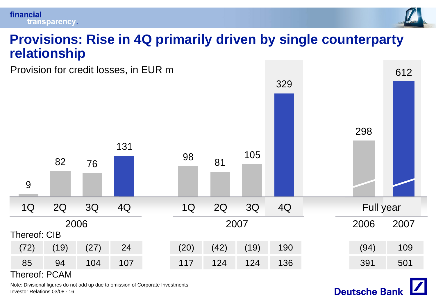#### financial transparency.



### **Provisions: Rise in 4Q primarily driven by single counterparty relationship**

Provision for credit losses, in EUR m Thereof: CIB2981Q 2Q 3Q 4Q Full year 2006 2006 2007 1Q 2Q 3Q 4Q 2007 982 7613198 81 <sup>105</sup> 329(72) (19) (27) 24 (20) (42) (19) 190 (94) 109 85 94 104 107 117 124 124 136 391 501612

#### Thereof: PCAM

Investor Relations 03/08 · 16Note: Divisional figures do not add up due to omission of Corporate Investments

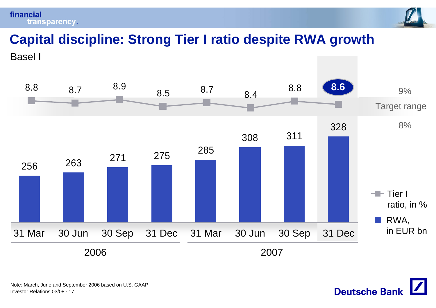financial transparency.



# **Capital discipline: Strong Tier I ratio despite RWA growth**

Basel I



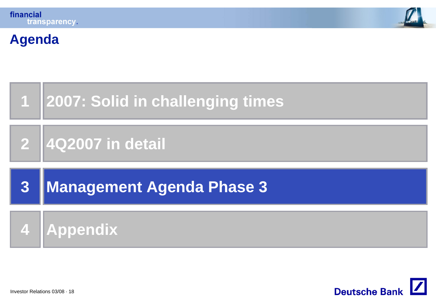**Agenda**





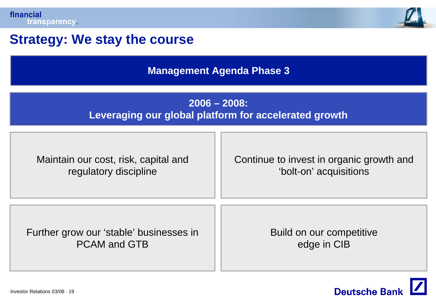

# **Strategy: We stay the course**

**Management Agenda Phase 3**

### **2006 – 2008: Leveraging our global platform for accelerated growth**

| Maintain our cost, risk, capital and    | Continue to invest in organic growth and |  |  |  |  |
|-----------------------------------------|------------------------------------------|--|--|--|--|
| regulatory discipline                   | 'bolt-on' acquisitions                   |  |  |  |  |
| Further grow our 'stable' businesses in | Build on our competitive                 |  |  |  |  |
| <b>PCAM and GTB</b>                     | edge in CIB                              |  |  |  |  |

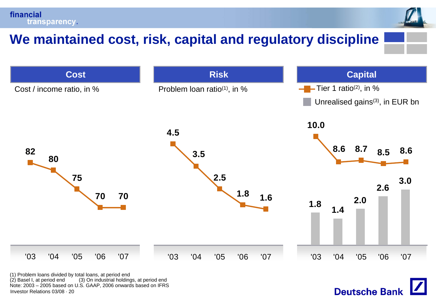financial transparency.

# **We maintained cost, risk, capital and regulatory discipline**



**Deutsche Bank** 

Investor Relations 03/08 · 20 (1) Problem loans divided by total loans, at period end  $(2)$  Basel I, at period end  $(3)$  On industrial holdings, at period end Note: 2003 – 2005 based on U.S. GAAP, 2006 onwards based on IFRS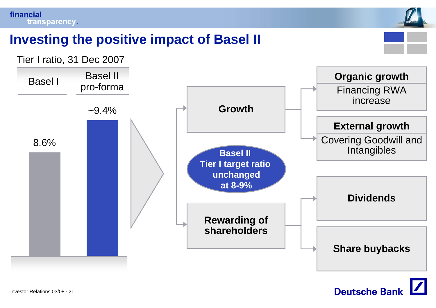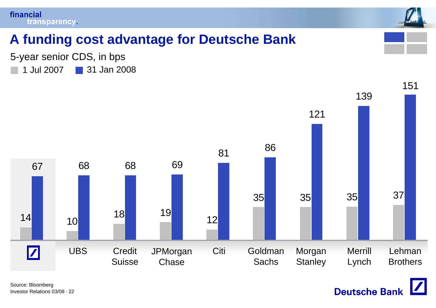



# **A funding cost advantage for Deutsche Bank**

1 Jul 200731 Jan 2008 5-year senior CDS, in bps



**Deutsche Bank**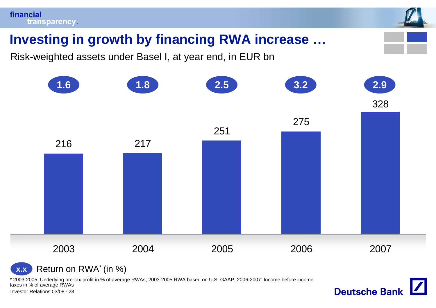

Risk-weighted assets under Basel I, at year end, in EUR bn



**Deutsche Bank** 

Return on RWA\* (in %) **x.x**

\* 2003-2005: Underlying pre-tax profit in % of average RWAs; 2003-2005 RWA based on U.S. GAAP; 2006-2007: Income before income taxes in % of average RWAs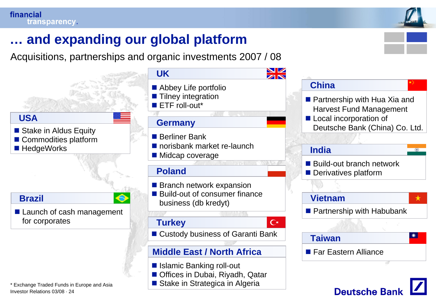Investor Relations 03/08 · 24

\* Exchange Traded Funds in Europe and Asia



**Deutsche Banl** 

# **… and expanding our global platform**

Acquisitions, partnerships and organic investments 2007 / 08



Stake in Strategica in Algeria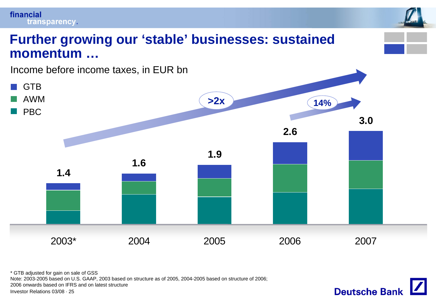



\* GTB adjusted for gain on sale of GSS

Note: 2003-2005 based on U.S. GAAP, 2003 based on structure as of 2005, 2004-2005 based on structure of 2006;

2006 onwards based on IFRS and on latest structure

![](_page_24_Picture_6.jpeg)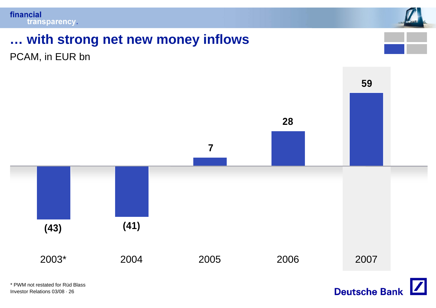![](_page_25_Picture_1.jpeg)

# **… with strong net new money inflows**

PCAM, in EUR bn

![](_page_25_Figure_4.jpeg)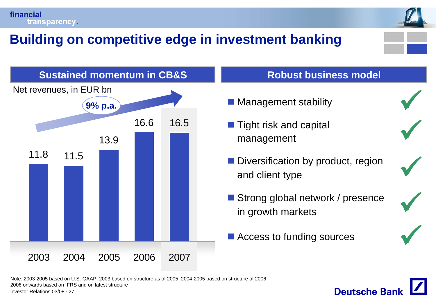![](_page_26_Picture_0.jpeg)

# **Building on competitive edge in investment banking**

![](_page_26_Picture_2.jpeg)

![](_page_26_Figure_3.jpeg)

#### **Robust business model**

- **Management stability**
- $\blacksquare$  Tight risk and capital management
- **Diversification by product, region** and client type
- Strong global network / presence in growth markets
- Access to funding sources

![](_page_26_Picture_10.jpeg)

**Deutsche Ban** 

9

 $\sqrt{}$ 

 $\sqrt{}$ 

 $\checkmark$ 

Note: 2003-2005 based on U.S. GAAP, 2003 based on structure as of 2005, 2004-2005 based on structure of 2006; 2006 onwards based on IFRS and on latest structure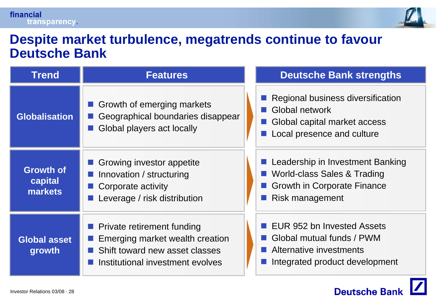![](_page_27_Picture_1.jpeg)

### **Despite market turbulence, megatrends continue to favour Deutsche Bank**

| <b>Trend</b>                           | <b>Features</b>                                                                                                                            | <b>Deutsche Bank strengths</b>                                                                                           |
|----------------------------------------|--------------------------------------------------------------------------------------------------------------------------------------------|--------------------------------------------------------------------------------------------------------------------------|
| <b>Globalisation</b>                   | Growth of emerging markets<br>Geographical boundaries disappear<br>Global players act locally                                              | Regional business diversification<br>■ Global network<br>Global capital market access<br>Local presence and culture      |
| <b>Growth of</b><br>capital<br>markets | Growing investor appetite<br>Innovation / structuring<br>Corporate activity<br>Leverage / risk distribution                                | Leadership in Investment Banking<br>World-class Sales & Trading<br><b>Growth in Corporate Finance</b><br>Risk management |
| <b>Global asset</b><br>growth          | <b>Private retirement funding</b><br>Emerging market wealth creation<br>Shift toward new asset classes<br>Institutional investment evolves | EUR 952 bn Invested Assets<br>■ Global mutual funds / PWM<br>Alternative investments<br>Integrated product development   |

![](_page_27_Picture_4.jpeg)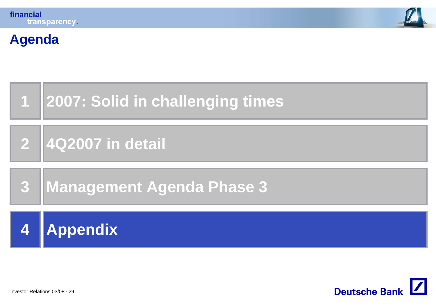**Agenda**

![](_page_28_Picture_1.jpeg)

![](_page_28_Figure_2.jpeg)

![](_page_28_Picture_3.jpeg)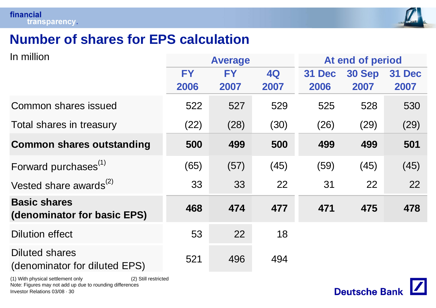![](_page_29_Picture_1.jpeg)

# **Number of shares for EPS calculation**

| In million                                             |           | <b>Average</b> |           | At end of period |               |        |
|--------------------------------------------------------|-----------|----------------|-----------|------------------|---------------|--------|
|                                                        | <b>FY</b> | FY             | <b>4Q</b> | 31 Dec           | <b>30 Sep</b> | 31 Dec |
|                                                        | 2006      | 2007           | 2007      | 2006             | 2007          | 2007   |
| Common shares issued                                   | 522       | 527            | 529       | 525              | 528           | 530    |
| Total shares in treasury                               | (22)      | (28)           | (30)      | (26)             | (29)          | (29)   |
| <b>Common shares outstanding</b>                       | 500       | 499            | 500       | 499              | 499           | 501    |
| Forward purchases <sup>(1)</sup>                       | (65)      | (57)           | (45)      | (59)             | (45)          | (45)   |
| Vested share awards $^{(2)}$                           | 33        | 33             | 22        | 31               | 22            | 22     |
| <b>Basic shares</b><br>(denominator for basic EPS)     | 468       | 474            | 477       | 471              | 475           | 478    |
| <b>Dilution effect</b>                                 | 53        | 22             | 18        |                  |               |        |
| <b>Diluted shares</b><br>(denominator for diluted EPS) | 521       | 496            | 494       |                  |               |        |

Investor Relations 03/08 · 30 (1) With physical settlement only (2) Still restricted Note: Figures may not add up due to rounding differences

![](_page_29_Picture_5.jpeg)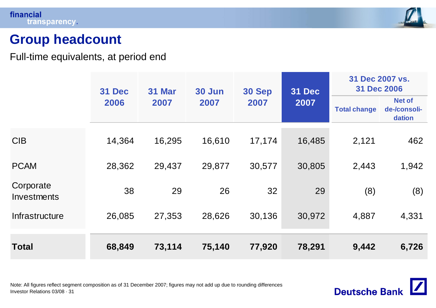![](_page_30_Picture_1.jpeg)

# **Group headcount**

Full-time equivalents, at period end

|                          | 31 Dec | <b>31 Mar</b> | 30 Jun | <b>30 Sep</b> | 31 Dec | 31 Dec 2007 vs.<br><b>31 Dec 2006</b> |                                         |
|--------------------------|--------|---------------|--------|---------------|--------|---------------------------------------|-----------------------------------------|
|                          | 2006   | 2007          | 2007   | 2007          | 2007   | <b>Total change</b>                   | <b>Net of</b><br>de-/consoli-<br>dation |
| <b>CIB</b>               | 14,364 | 16,295        | 16,610 | 17,174        | 16,485 | 2,121                                 | 462                                     |
| <b>PCAM</b>              | 28,362 | 29,437        | 29,877 | 30,577        | 30,805 | 2,443                                 | 1,942                                   |
| Corporate<br>Investments | 38     | 29            | 26     | 32            | 29     | (8)                                   | (8)                                     |
| Infrastructure           | 26,085 | 27,353        | 28,626 | 30,136        | 30,972 | 4,887                                 | 4,331                                   |
| <b>Total</b>             | 68,849 | 73,114        | 75,140 | 77,920        | 78,291 | 9,442                                 | 6,726                                   |

Investor Relations 03/08 · 31 Note: All figures reflect segment composition as of 31 December 2007; figures may not add up due to rounding differences

![](_page_30_Picture_6.jpeg)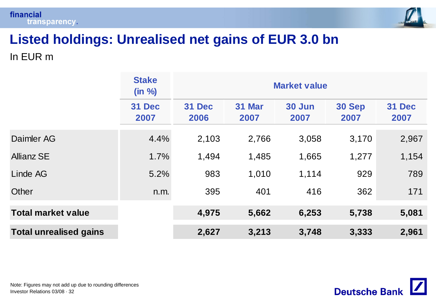![](_page_31_Picture_0.jpeg)

![](_page_31_Picture_1.jpeg)

# **Listed holdings: Unrealised net gains of EUR 3.0 bn**

In EUR m

|                               | <b>Stake</b><br>(in %) | <b>Market value</b>   |                |                |                |                |  |  |
|-------------------------------|------------------------|-----------------------|----------------|----------------|----------------|----------------|--|--|
|                               | <b>31 Dec</b><br>2007  | <b>31 Dec</b><br>2006 | 31 Mar<br>2007 | 30 Jun<br>2007 | 30 Sep<br>2007 | 31 Dec<br>2007 |  |  |
| Daimler AG                    | 4.4%                   | 2,103                 | 2,766          | 3,058          | 3,170          | 2,967          |  |  |
| <b>Allianz SE</b>             | 1.7%                   | 1,494                 | 1,485          | 1,665          | 1,277          | 1,154          |  |  |
| Linde AG                      | 5.2%                   | 983                   | 1,010          | 1,114          | 929            | 789            |  |  |
| Other                         | n.m.                   | 395                   | 401            | 416            | 362            | 171            |  |  |
| <b>Total market value</b>     |                        | 4,975                 | 5,662          | 6,253          | 5,738          | 5,081          |  |  |
| <b>Total unrealised gains</b> |                        | 2,627                 | 3,213          | 3,748          | 3,333          | 2,961          |  |  |

![](_page_31_Picture_6.jpeg)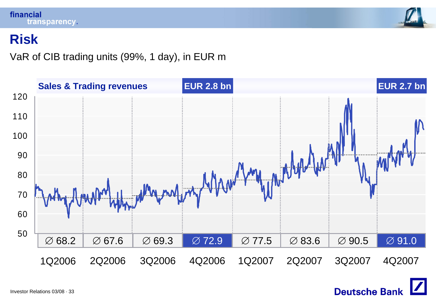![](_page_32_Picture_0.jpeg)

![](_page_32_Picture_1.jpeg)

### **Risk**

### VaR of CIB trading units (99%, 1 day), in EUR m

![](_page_32_Figure_4.jpeg)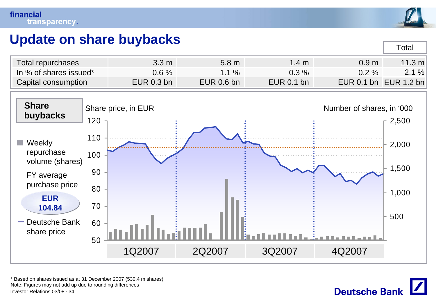![](_page_33_Picture_1.jpeg)

Total

# **Update on share buybacks**

| Total repurchases      | $3.3 \text{ m}$ | 5.8 <sub>m</sub> | $1.4~\mathrm{m}$ | 0.9 <sub>m</sub>      | 11.3 m |
|------------------------|-----------------|------------------|------------------|-----------------------|--------|
| In % of shares issued* | $0.6 \%$        | 1.1 $\%$         | $0.3\%$          | $0.2 \%$              | 2.1%   |
| Capital consumption    | $EUR$ 0.3 bn    | $EUR$ 0.6 bn     | $EUR$ 0.1 bn     | EUR 0.1 bn EUR 1.2 bn |        |

![](_page_33_Figure_4.jpeg)

Investor Relations 03/08 · 34\* Based on shares issued as at 31 December 2007 (530.4 m shares) Note: Figures may not add up due to rounding differences

![](_page_33_Picture_6.jpeg)